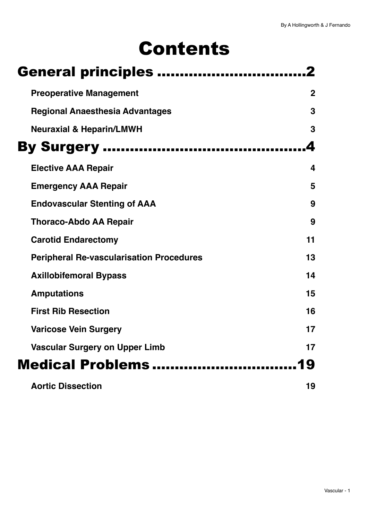# Contents

| <b>General principles </b>                      |             |
|-------------------------------------------------|-------------|
| <b>Preoperative Management</b>                  | $\mathbf 2$ |
| <b>Regional Anaesthesia Advantages</b>          | 3           |
| <b>Neuraxial &amp; Heparin/LMWH</b>             | 3           |
| <b>By Surgery </b>                              |             |
| <b>Elective AAA Repair</b>                      | 4           |
| <b>Emergency AAA Repair</b>                     | 5           |
| <b>Endovascular Stenting of AAA</b>             | 9           |
| <b>Thoraco-Abdo AA Repair</b>                   | 9           |
| <b>Carotid Endarectomy</b>                      | 11          |
| <b>Peripheral Re-vascularisation Procedures</b> | 13          |
| <b>Axillobifemoral Bypass</b>                   | 14          |
| <b>Amputations</b>                              | 15          |
| <b>First Rib Resection</b>                      | 16          |
| <b>Varicose Vein Surgery</b>                    | 17          |
| <b>Vascular Surgery on Upper Limb</b>           | 17          |
| Medical Problems                                | 19          |
| <b>Aortic Dissection</b>                        | 19          |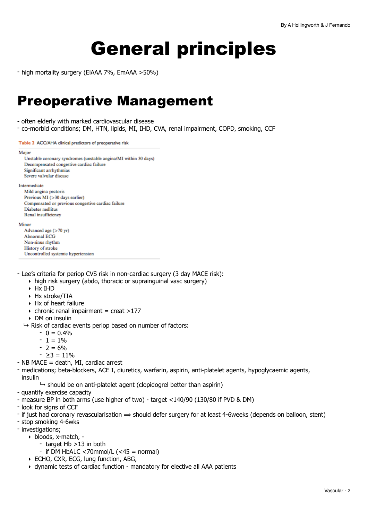# <span id="page-1-0"></span>General principles

- high mortality surgery (ElAAA 7%, EmAAA >50%)

## <span id="page-1-1"></span>Preoperative Management

- often elderly with marked cardiovascular disease
- co-morbid conditions; DM, HTN, lipids, MI, IHD, CVA, renal impairment, COPD, smoking, CCF

Table 2 ACC/AHA clinical predictors of preoperative risk

#### Major

| Unstable coronary syndromes (unstable angina/MI within 30 days) |  |  |  |
|-----------------------------------------------------------------|--|--|--|
| Decompensated congestive cardiac failure                        |  |  |  |
| Significant arrhythmias                                         |  |  |  |
| Severe valvular disease                                         |  |  |  |
| Intermediate                                                    |  |  |  |
| Mild angina pectoris                                            |  |  |  |
| Previous MI (>30 days earlier)                                  |  |  |  |
| Compensated or previous congestive cardiac failure              |  |  |  |
| Diabetes mellitus                                               |  |  |  |
| Renal insufficiency                                             |  |  |  |
| Minor                                                           |  |  |  |
| Advanced age $(>70 \text{ yr})$                                 |  |  |  |
| <b>Abnormal ECG</b>                                             |  |  |  |
| Non-sinus rhythm                                                |  |  |  |

- Lee's criteria for periop CVS risk in non-cardiac surgery (3 day MACE risk):

- ‣ high risk surgery (abdo, thoracic or suprainguinal vasc surgery)
- ‣ Hx IHD

**History of stroke** 

- ‣ Hx stroke/TIA
- ‣ Hx of heart failure

Uncontrolled systemic hypertension

- $\rightarrow$  chronic renal impairment = creat >177
- ‣ DM on insulin
- $\mapsto$  Risk of cardiac events periop based on number of factors:
	- $0 = 0.4\%$
	- $1 = 1\%$
	- $2 = 6\%$
	- ≥3 = 11%
- NB MACE = death, MI, cardiac arrest
- medications; beta-blockers, ACE I, diuretics, warfarin, aspirin, anti-platelet agents, hypoglycaemic agents, insulin
	- $\rightarrow$  should be on anti-platelet agent (clopidogrel better than aspirin)
- quantify exercise capacity
- measure BP in both arms (use higher of two) target <140/90 (130/80 if PVD & DM)
- look for signs of CCF
- if just had coronary revascularisation  $\Rightarrow$  should defer surgery for at least 4-6weeks (depends on balloon, stent)
- stop smoking 4-6wks
- investigations;
	- ‣ bloods, x-match, -
	- target Hb >13 in both
		- $-$  if DM HbA1C <70mmol/L (<45 = normal)
	- ‣ ECHO, CXR, ECG, lung function, ABG,
	- ‣ dynamic tests of cardiac function mandatory for elective all AAA patients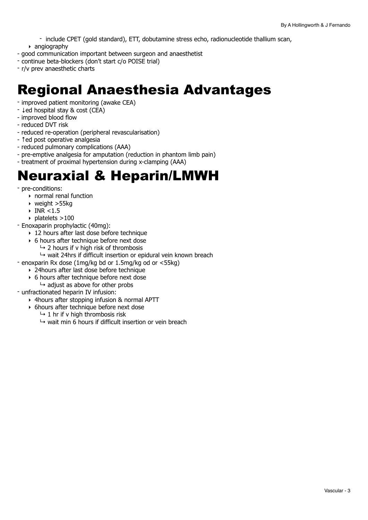- include CPET (gold standard), ETT, dobutamine stress echo, radionucleotide thallium scan,
- ‣ angiography
- good communication important between surgeon and anaesthetist
- continue beta-blockers (don't start c/o POISE trial)
- r/v prev anaesthetic charts

## <span id="page-2-0"></span>Regional Anaesthesia Advantages

- improved patient monitoring (awake CEA)
- ↓ed hospital stay & cost (CEA)
- improved blood flow
- reduced DVT risk
- reduced re-operation (peripheral revascularisation)
- ↑ed post operative analgesia
- reduced pulmonary complications (AAA)
- pre-emptive analgesia for amputation (reduction in phantom limb pain)
- treatment of proximal hypertension during x-clamping (AAA)

## <span id="page-2-1"></span>Neuraxial & Heparin/LMWH

- pre-conditions:
	- ‣ normal renal function
	- ‣ weight >55kg
	- $\triangleright$  INR <1.5
	- $\triangleright$  platelets >100
- Enoxaparin prophylactic (40mg):
	- ▶ 12 hours after last dose before technique
	- ‣ 6 hours after technique before next dose
		- $\rightarrow$  2 hours if v high risk of thrombosis
		- $\rightarrow$  wait 24hrs if difficult insertion or epidural vein known breach
- enoxparin Rx dose (1mg/kg bd or 1.5mg/kg od or <55kg)
	- ‣ 24hours after last dose before technique
	- ‣ 6 hours after technique before next dose
		- $\rightarrow$  adjust as above for other probs
- unfractionated heparin IV infusion:
	- ‣ 4hours after stopping infusion & normal APTT
	- ‣ 6hours after technique before next dose
		- $\mapsto$  1 hr if v high thrombosis risk
		- $\mapsto$  wait min 6 hours if difficult insertion or vein breach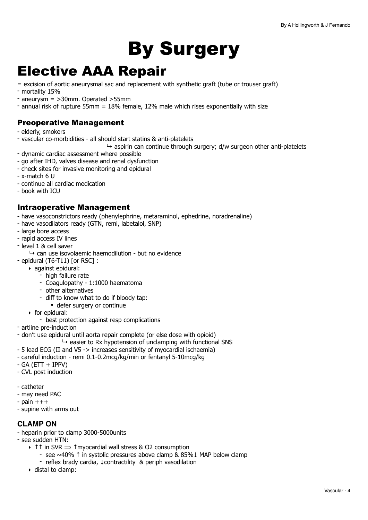# <span id="page-3-0"></span>By Surgery

## <span id="page-3-1"></span>Elective AAA Repair

= excision of aortic aneurysmal sac and replacement with synthetic graft (tube or trouser graft) - mortality 15%

- aneurysm = >30mm. Operated >55mm
- annual risk of rupture 55mm = 18% female, 12% male which rises exponentially with size

## Preoperative Management

- elderly, smokers
- vascular co-morbidities all should start statins & anti-platelets
	- $\rightarrow$  aspirin can continue through surgery; d/w surgeon other anti-platelets
- dynamic cardiac assessment where possible
- go after IHD, valves disease and renal dysfunction
- check sites for invasive monitoring and epidural
- x-match 6 U
- continue all cardiac medication
- book with ICU

### Intraoperative Management

- have vasoconstrictors ready (phenylephrine, metaraminol, ephedrine, noradrenaline)

- have vasodilators ready (GTN, remi, labetalol, SNP)
- large bore access
- rapid access IV lines
- level 1 & cell saver
	- $\rightarrow$  can use isovolaemic haemodilution but no evidence
- epidural (T6-T11) [or RSC] :
	- ‣ against epidural:
		- high failure rate
		- Coagulopathy 1:1000 haematoma
		- other alternatives
		- diff to know what to do if bloody tap:
			- defer surgery or continue
	- ‣ for epidural:
		- best protection against resp complications
- artline pre-induction
- don't use epidural until aorta repair complete (or else dose with opioid)
	- $\rightarrow$  easier to Rx hypotension of unclamping with functional SNS
- 5 lead ECG (II and V5 -> increases sensitivity of myocardial ischaemia)
- careful induction remi 0.1-0.2mcg/kg/min or fentanyl 5-10mcg/kg
- $-$  GA (ETT  $+$  IPPV)
- CVL post induction
- catheter
- may need PAC
- $-$  pain  $+++$
- supine with arms out

#### **CLAMP ON**

- heparin prior to clamp 3000-5000units
- see sudden HTN:
	- ‣ ↑↑ in SVR ⟹ ↑myocardial wall stress & O2 consumption
		- see ~40% ↑ in systolic pressures above clamp & 85%↓ MAP below clamp
		- reflex brady cardia, ↓contractility & periph vasodilation
	- ‣ distal to clamp: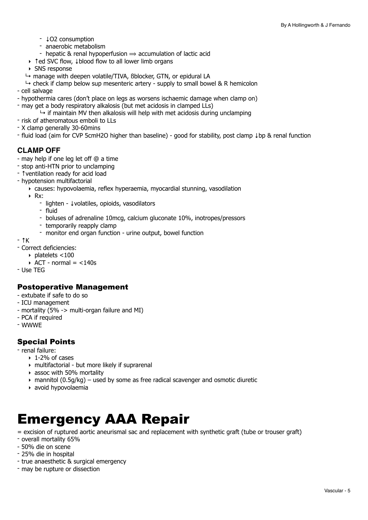- ↓O2 consumption
- anaerobic metabolism
- hepatic & renal hypoperfusion  $\Rightarrow$  accumulation of lactic acid
- ‣ ↑ed SVC flow, ↓blood flow to all lower limb organs
- ‣ SNS response
- $\rightarrow$  manage with deepen volatile/TIVA, Bblocker, GTN, or epidural LA
- $\rightarrow$  check if clamp below sup mesenteric artery supply to small bowel & R hemicolon
- cell salvage
- hypothermia cares (don't place on legs as worsens ischaemic damage when clamp on)
- may get a body respiratory alkalosis (but met acidosis in clamped LLs)
	- $\rightarrow$  if maintain MV then alkalosis will help with met acidosis during unclamping
- risk of atheromatous emboli to LLs
- X clamp generally 30-60mins
- fluid load (aim for CVP 5cmH2O higher than baseline) good for stability, post clamp ↓bp & renal function

## **CLAMP OFF**

- may help if one leg let off @ a time
- stop anti-HTN prior to unclamping
- ↑ventilation ready for acid load
- hypotension multifactorial
	- ‣ causes: hypovolaemia, reflex hyperaemia, myocardial stunning, vasodilation
	- ‣ Rx:
		- lighten ↓volatiles, opioids, vasodilators
		- fluid
		- boluses of adrenaline 10mcg, calcium gluconate 10%, inotropes/pressors
		- temporarily reapply clamp
		- monitor end organ function urine output, bowel function
- ↑K
- Correct deficiencies:
	- $\triangleright$  platelets <100
		- $\triangle$  ACT normal = <140s
- Use TEG

## Postoperative Management

- extubate if safe to do so
- ICU management
- mortality (5% -> multi-organ failure and MI)
- PCA if required
- WWWE

## Special Points

- renal failure:
	- $\rightarrow$  1-2% of cases
	- ‣ multifactorial but more likely if suprarenal
	- ‣ assoc with 50% mortality
	- $\rightarrow$  mannitol (0.5g/kg) used by some as free radical scavenger and osmotic diuretic
	- ‣ avoid hypovolaemia

## <span id="page-4-0"></span>Emergency AAA Repair

= excision of ruptured aortic aneurismal sac and replacement with synthetic graft (tube or trouser graft)

- overall mortality 65%
- 50% die on scene
- 25% die in hospital
- true anaesthetic & surgical emergency
- may be rupture or dissection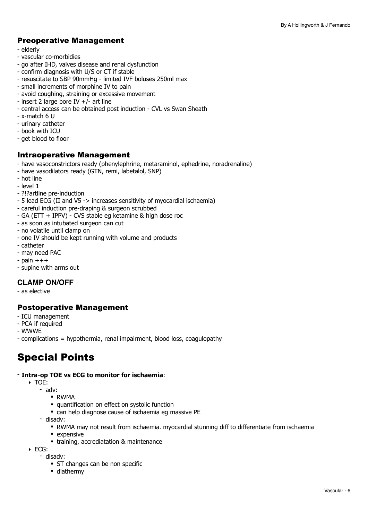## Preoperative Management

- elderly
- vascular co-morbidies
- go after IHD, valves disease and renal dysfunction
- confirm diagnosis with U/S or CT if stable
- resuscitate to SBP 90mmHg limited IVF boluses 250ml max
- small increments of morphine IV to pain
- avoid coughing, straining or excessive movement
- insert 2 large bore IV +/- art line
- central access can be obtained post induction CVL vs Swan Sheath
- x-match 6 U
- urinary catheter
- book with ICU
- get blood to floor

### Intraoperative Management

- have vasoconstrictors ready (phenylephrine, metaraminol, ephedrine, noradrenaline)
- have vasodilators ready (GTN, remi, labetalol, SNP)
- hot line
- level 1
- ?!?artline pre-induction
- 5 lead ECG (II and V5 -> increases sensitivity of myocardial ischaemia)
- careful induction pre-draping & surgeon scrubbed
- GA (ETT + IPPV) CVS stable eg ketamine & high dose roc
- as soon as intubated surgeon can cut
- no volatile until clamp on
- one IV should be kept running with volume and products
- catheter
- may need PAC
- $-$  pain  $+++$
- supine with arms out

#### **CLAMP ON/OFF**

- as elective

#### Postoperative Management

- ICU management
- PCA if required
- WWWE
- complications = hypothermia, renal impairment, blood loss, coagulopathy

## Special Points

#### - **Intra-op TOE vs ECG to monitor for ischaemia**:

- ‣ TOE:
	- adv:
		- RWMA
		- quantification on effect on systolic function
		- can help diagnose cause of ischaemia eg massive PE
	- disadv:
		- RWMA may not result from ischaemia. myocardial stunning diff to differentiate from ischaemia
		- expensive
		- training, accrediatation & maintenance
- ‣ ECG:
	- disadv:
		- ST changes can be non specific
		- diathermy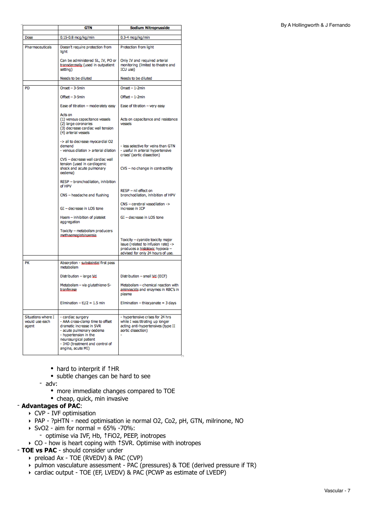|                                               | GTN                                                                                                                                                                                                                     | Sodium Nitroprusside                                                                                                                             |
|-----------------------------------------------|-------------------------------------------------------------------------------------------------------------------------------------------------------------------------------------------------------------------------|--------------------------------------------------------------------------------------------------------------------------------------------------|
| Dose                                          | 0.15-0.8 mcg/kg/min                                                                                                                                                                                                     | 0.3-4 mcg/kg/min                                                                                                                                 |
|                                               |                                                                                                                                                                                                                         |                                                                                                                                                  |
| Pharmaceuticals                               | Doesn't require protection from<br>light                                                                                                                                                                                | Protection from light                                                                                                                            |
|                                               | Can be administered SL, IV, PO or<br>transdermally (used in outpatient<br>setting)                                                                                                                                      | Only IV and required arterial<br>monitoring (limited to theatre and<br>ICU use)                                                                  |
|                                               | Needs to be diluted                                                                                                                                                                                                     | Needs to be diluted                                                                                                                              |
| PD                                            | Onset - 3-5min                                                                                                                                                                                                          | Onset - 1-2min                                                                                                                                   |
|                                               | Offset - 3-5min                                                                                                                                                                                                         | Offset - 1-2min                                                                                                                                  |
|                                               | Ease of titration - moderately easy                                                                                                                                                                                     | Ease of titration - very easy                                                                                                                    |
|                                               | Acts on<br>(1) venous capacitance vessels<br>(2) large coronaries<br>(3) decrease cardiac wall tension<br>(4) arterial vessels                                                                                          | Acts on capacitance and resistance<br>vessels                                                                                                    |
|                                               | -> all to decrease myocardial O2<br>demand<br>- venous dilation > arterial dilation                                                                                                                                     | - less selective for veins than GTN<br>- useful in arterial hypertensive<br>crises' (aortic dissection)                                          |
|                                               | CVS - decrease wall cardiac wall<br>tension (used in cardiogenic<br>shock and acute pulmonary<br>oedema)                                                                                                                | CVS - no change in contractility                                                                                                                 |
|                                               | RESP - bronchodilation, inhibition<br>of HPV                                                                                                                                                                            | RESP - nil effect on                                                                                                                             |
|                                               | CNS - headache and flushing                                                                                                                                                                                             | bronchodilation, inhibition of HPV                                                                                                               |
|                                               | GI - decrease in LOS tone                                                                                                                                                                                               | CNS - cerebral vasodilation -><br>increase in ICP                                                                                                |
|                                               | Haem - inhibition of platelet<br>aggregation                                                                                                                                                                            | GI - decrease in LOS tone                                                                                                                        |
|                                               | Toxicity - metabolism producers<br>methaemoglobinaemia                                                                                                                                                                  | Toxicity - cyanide toxicity major<br>issue (related to infusion rate) -><br>produces a histotoxic hypoxia -<br>advised for only 24 hours of use. |
|                                               |                                                                                                                                                                                                                         |                                                                                                                                                  |
| PK                                            | Absorption - substaintial first pass<br>metabolism                                                                                                                                                                      |                                                                                                                                                  |
|                                               | Distribution - large Vd                                                                                                                                                                                                 | Distribution - small Vd (ECF)                                                                                                                    |
|                                               | Metabolism - via glutathione-S-<br>tranferase                                                                                                                                                                           | Metabolism - chemical reaction with<br>aminoacids and enzymes in RBC's in<br>plasma                                                              |
|                                               | Elimination $- t1/2 = 1.5$ min                                                                                                                                                                                          | Elimination - thiocyanate = 3 days                                                                                                               |
| Situations where I<br>would use each<br>agent | - cardiac surgery<br>- AAA cross-clamp time to offset<br>dramatic increase in SVR<br>- acute pulmonary oedema<br>- hypertension in the<br>neurosurgical patient<br>- IHD (treatment and control of<br>angina, acute MI) | - hypertensive crises for 24 hrs<br>while I was titrating up longer<br>acting anti-hypertensives (type II<br>aortic dissection)                  |

- hard to interprit if ↑HR
- subtle changes can be hard to see
- adv:
	- more immediate changes compared to TOE
	- cheap, quick, min invasive

### - **Advantages of PAC**:

- ‣ CVP IVF optimisation
- ‣ PAP ?pHTN need optimisation ie normal O2, Co2, pH, GTN, milrinone, NO
- $\triangleright$  SvO2 aim for normal = 65% -70%:
	- optimise via IVF, Hb, ↑FiO2, PEEP, inotropes
- ‣ CO how is heart coping with ↑SVR. Optimise with inotropes

## - **TOE vs PAC** - should consider under

- ‣ preload Ax TOE (RVEDV) & PAC (CVP)
- ‣ pulmon vasculature assessment PAC (pressures) & TOE (derived pressure if TR)
- ‣ cardiac output TOE (EF, LVEDV) & PAC (PCWP as estimate of LVEDP)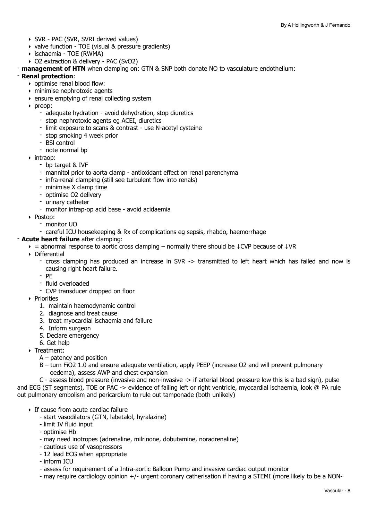- ‣ SVR PAC (SVR, SVRI derived values)
- ‣ valve function TOE (visual & pressure gradients)
- ‣ ischaemia TOE (RWMA)
- ‣ O2 extraction & delivery PAC (SvO2)
- **management of HTN** when clamping on: GTN & SNP both donate NO to vasculature endothelium:

#### - **Renal protection**:

- ‣ optimise renal blood flow:
- ‣ minimise nephrotoxic agents
- ‣ ensure emptying of renal collecting system
- ‣ preop:
	- adequate hydration avoid dehydration, stop diuretics
	- stop nephrotoxic agents eg ACEI, diuretics
	- limit exposure to scans & contrast use N-acetyl cysteine
	- stop smoking 4 week prior
	- BSl control
	- note normal bp
- ‣ intraop:
	- bp target & IVF
	- mannitol prior to aorta clamp antioxidant effect on renal parenchyma
	- infra-renal clamping (still see turbulent flow into renals)
	- minimise X clamp time
	- optimise O2 delivery
	- urinary catheter
	- monitor intrap-op acid base avoid acidaemia
- ‣ Postop:
	- monitor UO
	- careful ICU housekeeping & Rx of complications eg sepsis, rhabdo, haemorrhage

#### - **Acute heart failure** after clamping:

- $\rightarrow$  = abnormal response to aortic cross clamping normally there should be  $\downarrow$ CVP because of  $\downarrow$ VR
- ‣ Differential
	- cross clamping has produced an increase in SVR -> transmitted to left heart which has failed and now is causing right heart failure.
	- PE
	- fluid overloaded
	- CVP transducer dropped on floor
- ‣ Priorities
	- 1. maintain haemodynamic control
	- 2. diagnose and treat cause
	- 3. treat myocardial ischaemia and failure
	- 4. Inform surgeon
	- 5. Declare emergency
	- 6. Get help
- ‣ Treatment:
	- A patency and position
	- B turn FiO2 1.0 and ensure adequate ventilation, apply PEEP (increase O2 and will prevent pulmonary oedema), assess AWP and chest expansion

C - assess blood pressure (invasive and non-invasive -> if arterial blood pressure low this is a bad sign), pulse and ECG (ST segments), TOE or PAC -> evidence of failing left or right ventricle, myocardial ischaemia, look @ PA rule out pulmonary embolism and pericardium to rule out tamponade (both unlikely)

- ‣ If cause from acute cardiac failure
	- start vasodilators (GTN, labetalol, hyralazine)
	- limit IV fluid input
	- optimise Hb
	- may need inotropes (adrenaline, milrinone, dobutamine, noradrenaline)
	- cautious use of vasopressors
	- 12 lead ECG when appropriate
	- inform ICU
	- assess for requirement of a Intra-aortic Balloon Pump and invasive cardiac output monitor
	- may require cardiology opinion +/- urgent coronary catherisation if having a STEMI (more likely to be a NON-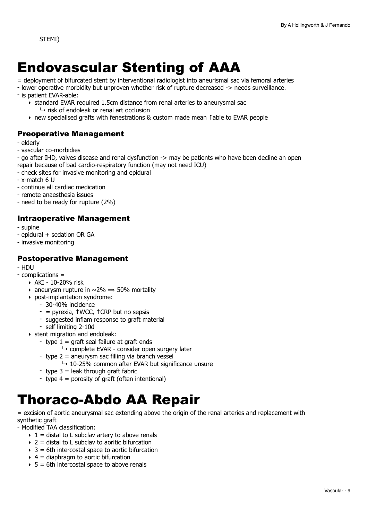## <span id="page-8-0"></span>Endovascular Stenting of AAA

= deployment of bifurcated stent by interventional radiologist into aneurismal sac via femoral arteries

- lower operative morbidity but unproven whether risk of rupture decreased -> needs surveillance.
- is patient EVAR-able:
	- ‣ standard EVAR required 1.5cm distance from renal arteries to aneurysmal sac
		- $\mapsto$  risk of endoleak or renal art occlusion
	- ‣ new specialised grafts with fenestrations & custom made mean ↑able to EVAR people

## Preoperative Management

- elderly
- vascular co-morbidies

- go after IHD, valves disease and renal dysfunction -> may be patients who have been decline an open repair because of bad cardio-respiratory function (may not need ICU)

- check sites for invasive monitoring and epidural
- x-match 6 U
- continue all cardiac medication
- remote anaesthesia issues
- need to be ready for rupture (2%)

## Intraoperative Management

- supine
- epidural + sedation OR GA
- invasive monitoring

## Postoperative Management

- HDU
- complications =
	- ‣ AKI 10-20% risk
	- aneurysm rupture in  $\sim$  2%  $\Rightarrow$  50% mortality
	- ‣ post-implantation syndrome:
		- 30-40% incidence
		- = pyrexia, ↑WCC, ↑CRP but no sepsis
		- suggested inflam response to graft material
		- self limiting 2-10d
	- ‣ stent migration and endoleak:
		- type  $1 = \text{araff}$  seal failure at graft ends
			- $\rightarrow$  complete EVAR consider open surgery later
			- $-$  type 2 = aneurysm sac filling via branch vessel
				- $\rightarrow$  10-25% common after EVAR but significance unsure
		- type  $3 =$  leak through graft fabric
		- type 4 = porosity of graft (often intentional)

## <span id="page-8-1"></span>Thoraco-Abdo AA Repair

= excision of aortic aneurysmal sac extending above the origin of the renal arteries and replacement with synthetic graft

- Modified TAA classification:

- $\rightarrow$  1 = distal to L subclav artery to above renals
- $\rightarrow$  2 = distal to L subclay to aoritic bifurcation
- $\rightarrow$  3 = 6th intercostal space to aortic bifurcation
- $\rightarrow$  4 = diaphragm to aortic bifurcation
- $\rightarrow$  5 = 6th intercostal space to above renals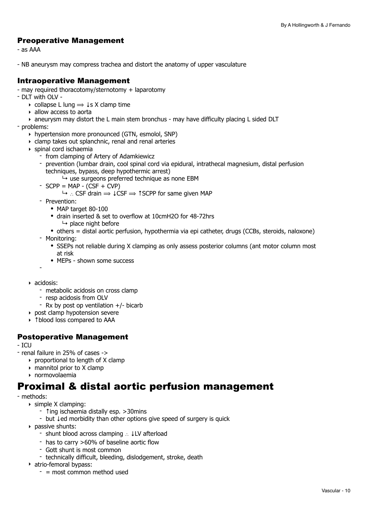## Preoperative Management

- as AAA

- NB aneurysm may compress trachea and distort the anatomy of upper vasculature

## Intraoperative Management

- may required thoracotomy/sternotomy + laparotomy
- DLT with OLV
	- $\rightarrow$  collapse L lung  $\Rightarrow$   $\downarrow$ s X clamp time
	- ‣ allow access to aorta
	- ‣ aneurysm may distort the L main stem bronchus may have difficulty placing L sided DLT

- problems:

- ‣ hypertension more pronounced (GTN, esmolol, SNP)
- ‣ clamp takes out splanchnic, renal and renal arteries
- ‣ spinal cord ischaemia
	- from clamping of Artery of Adamkiewicz
	- prevention (lumbar drain, cool spinal cord via epidural, intrathecal magnesium, distal perfusion techniques, bypass, deep hypothermic arrest)
		- $\rightarrow$  use surgeons preferred technique as none EBM
	- $-$  SCPP = MAP  $-$  (CSF  $+$  CVP)
		- $\mapsto$  ∴ CSF drain  $\Rightarrow$  ↓CSF  $\Rightarrow$  ↑SCPP for same given MAP
	- Prevention:
		- MAP target 80-100
		- drain inserted & set to overflow at 10cmH2O for 48-72hrs  $\mapsto$  place night before
		- others = distal aortic perfusion, hypothermia via epi catheter, drugs (CCBs, steroids, naloxone)
	- Monitoring:
		- SSEPs not reliable during X clamping as only assess posterior columns (ant motor column most at risk
		- MEPs shown some success
	- -
- ‣ acidosis:
	- metabolic acidosis on cross clamp
	- resp acidosis from OLV
	- Rx by post op ventilation +/- bicarb
- ‣ post clamp hypotension severe
- ‣ ↑blood loss compared to AAA

## Postoperative Management

 $-$  ICU

- renal failure in 25% of cases ->
	- $\rightarrow$  proportional to length of X clamp
	- $\triangleright$  mannitol prior to X clamp
	- ‣ normovolaemia

## Proximal & distal aortic perfusion management

- methods:
	- ‣ simple X clamping:
		- Ting ischaemia distally esp. >30mins
		- but ↓ed morbidity than other options give speed of surgery is quick
	- ‣ passive shunts:
		- shunt blood across clamping ∴ ↓LV afterload
		- has to carry >60% of baseline aortic flow
		- Gott shunt is most common
		- technically difficult, bleeding, dislodgement, stroke, death
	- ‣ atrio-femoral bypass:
		- $-$  = most common method used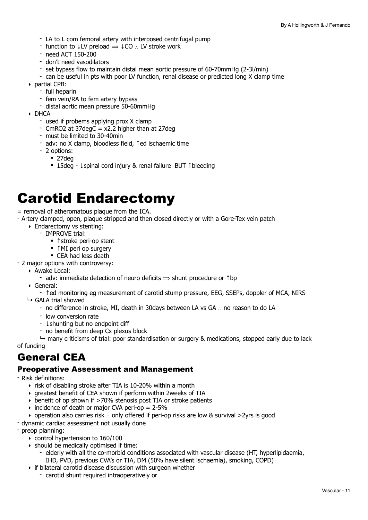- LA to L com femoral artery with interposed centrifugal pump
- function to  $\downarrow$  LV preload  $\Rightarrow \downarrow$  CO  $\therefore$  LV stroke work
- need ACT 150-200
- don't need vasodilators
- set bypass flow to maintain distal mean aortic pressure of 60-70mmHg (2-3l/min)
- can be useful in pts with poor LV function, renal disease or predicted long X clamp time
- ‣ partial CPB:
	- full heparin
	- fem vein/RA to fem artery bypass
	- distal aortic mean pressure 50-60mmHg
- ‣ DHCA
	- used if probems applying prox X clamp
	- CmRO2 at 37degC = x2.2 higher than at 27deg
	- must be limited to 30-40min
	- adv: no X clamp, bloodless field, ↑ed ischaemic time
	- 2 options:
		- 27deg
		- 15deg ↓spinal cord injury & renal failure BUT ↑bleeding

## <span id="page-10-0"></span>Carotid Endarectomy

= removal of atheromatous plaque from the ICA.

- Artery clamped, open, plaque stripped and then closed directly or with a Gore-Tex vein patch
	- ‣ Endarectomy vs stenting:
		- IMPROVE trial:
			- ↑stroke peri-op stent
			- **↑MI peri op surgery**
			- CEA had less death
- 2 major options with controversy:
	- ‣ Awake Local:
		- adv: immediate detection of neuro deficits  $\Rightarrow$  shunt procedure or  $\uparrow$  bp
	- ‣ General:
		- ↑ed monitoring eg measurement of carotid stump pressure, EEG, SSEPs, doppler of MCA, NIRS
	- $ightharpoonup$  GALA trial showed
		- no difference in stroke, MI, death in 30days between LA vs GA ∴ no reason to do LA
		- low conversion rate
		- ↓shunting but no endpoint diff
		- no benefit from deep Cx plexus block

 $\rightarrow$  many criticisms of trial: poor standardisation or surgery & medications, stopped early due to lack

of funding

## General CEA

#### Preoperative Assessment and Management

- Risk definitions:
	- ‣ risk of disabling stroke after TIA is 10-20% within a month
	- ‣ greatest benefit of CEA shown if perform within 2weeks of TIA
	- ‣ benefit of op shown if >70% stenosis post TIA or stroke patients
	- $\rightarrow$  incidence of death or major CVA peri-op = 2-5%
	- ‣ operation also carries risk ∴ only offered if peri-op risks are low & survival >2yrs is good
- dynamic cardiac assessment not usually done
- preop planning:
	- ‣ control hypertension to 160/100
	- $\rightarrow$  should be medically optimised if time:
		- elderly with all the co-morbid conditions associated with vascular disease (HT, hyperlipidaemia, IHD, PVD, previous CVA's or TIA, DM (50% have silent ischaemia), smoking, COPD)
	- ‣ if bilateral carotid disease discussion with surgeon whether
		- carotid shunt required intraoperatively or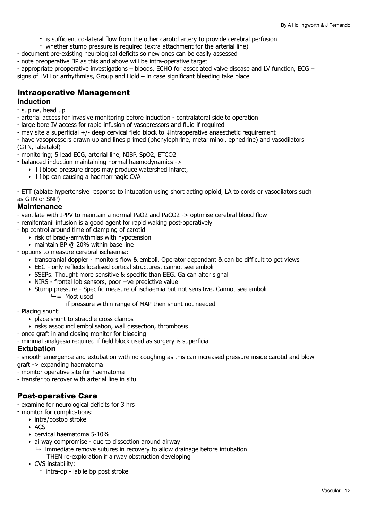- is sufficient co-lateral flow from the other carotid artery to provide cerebral perfusion
- whether stump pressure is required (extra attachment for the arterial line)
- document pre-existing neurological deficits so new ones can be easily assessed
- note preoperative BP as this and above will be intra-operative target
- appropriate preoperative investigations bloods, ECHO for associated valve disease and LV function, ECG signs of LVH or arrhythmias, Group and Hold – in case significant bleeding take place

### Intraoperative Management

#### **Induction**

- supine, head up
- arterial access for invasive monitoring before induction contralateral side to operation
- large bore IV access for rapid infusion of vasopressors and fluid if required
- may site a superficial +/- deep cervical field block to ↓intraoperative anaesthetic requirement
- have vasopressors drawn up and lines primed (phenylephrine, metariminol, ephedrine) and vasodilators (GTN, labetalol)
- monitoring; 5 lead ECG, arterial line, NIBP, SpO2, ETCO2
- balanced induction maintaining normal haemodynamics ->
	- ‣ ↓↓blood pressure drops may produce watershed infarct,
	- ‣ ↑↑bp can causing a haemorrhagic CVA

- ETT (ablate hypertensive response to intubation using short acting opioid, LA to cords or vasodilators such as GTN or SNP)

#### **Maintenance**

- ventilate with IPPV to maintain a normal PaO2 and PaCO2 -> optimise cerebral blood flow
- remifentanil infusion is a good agent for rapid waking post-operatively
- bp control around time of clamping of carotid
	- ‣ risk of brady-arrhythmias with hypotension
	- ‣ maintain BP @ 20% within base line
- options to measure cerebral ischaemia:
	- ‣ transcranial doppler monitors flow & emboli. Operator dependant & can be difficult to get views
	- ‣ EEG only reflects localised cortical structures. cannot see emboli
	- ‣ SSEPs. Thought more sensitive & specific than EEG. Ga can alter signal
	- ‣ NIRS frontal lob sensors, poor +ve predictive value
	- ‣ Stump pressure Specific measure of ischaemia but not sensitive. Cannot see emboli  $\overline{+}$  Most used

if pressure within range of MAP then shunt not needed

- Placing shunt:
	- ‣ place shunt to straddle cross clamps
	- ‣ risks assoc incl embolisation, wall dissection, thrombosis
- once graft in and closing monitor for bleeding
- minimal analgesia required if field block used as surgery is superficial

#### **Extubation**

- smooth emergence and extubation with no coughing as this can increased pressure inside carotid and blow graft -> expanding haematoma

- monitor operative site for haematoma
- transfer to recover with arterial line in situ

#### Post-operative Care

- examine for neurological deficits for 3 hrs
- monitor for complications:
	- ‣ intra/postop stroke
		- ‣ ACS
		- ‣ cervical haematoma 5-10%
		- ‣ airway compromise due to dissection around airway
		- $\rightarrow$  immediate remove sutures in recovery to allow drainage before intubation THEN re-exploration if airway obstruction developing
		- ‣ CVS instability:
			- intra-op labile bp post stroke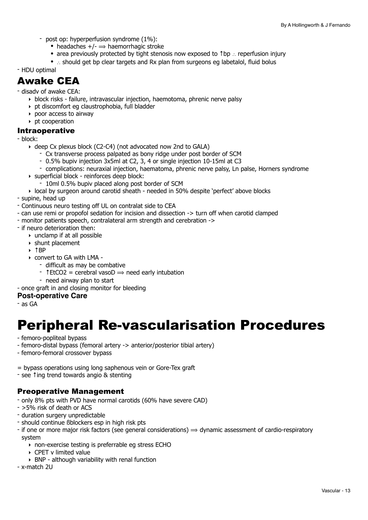- post op: hyperperfusion syndrome (1%):
	- headaches  $+/- \implies$  haemorrhagic stroke
	- area previously protected by tight stenosis now exposed to ↑bp ∴ reperfusion injury
	- ∴ should get bp clear targets and Rx plan from surgeons eg labetalol, fluid bolus

- HDU optimal

## Awake CEA

- disadv of awake CEA:
	- ‣ block risks failure, intravascular injection, haemotoma, phrenic nerve palsy
	- ‣ pt discomfort eg claustrophobia, full bladder
	- ‣ poor access to airway
	- ‣ pt cooperation

#### Intraoperative

- block:
	- ‣ deep Cx plexus block (C2-C4) (not advocated now 2nd to GALA)
		- Cx transverse process palpated as bony ridge under post border of SCM
		- 0.5% bupiv injection 3x5ml at C2, 3, 4 or single injection 10-15ml at C3
		- complications: neuraxial injection, haematoma, phrenic nerve palsy, Ln palse, Horners syndrome
	- ‣ superficial block reinforces deep block:
		- 10ml 0.5% bupiv placed along post border of SCM
	- ‣ local by surgeon around carotid sheath needed in 50% despite 'perfect' above blocks
- supine, head up
- Continuous neuro testing off UL on contralat side to CEA
- can use remi or propofol sedation for incision and dissection -> turn off when carotid clamped
- monitor patients speech, contralateral arm strength and cerebration ->
- if neuro deterioration then:
	- ‣ unclamp if at all possible
	- $\rightarrow$  shunt placement
	- ‣ ↑BP
	- ‣ convert to GA with LMA
		- difficult as may be combative
			- $\overline{\phantom{a}}$  + TEtCO2 = cerebral vasoD  $\Rightarrow$  need early intubation
	- need airway plan to start
- once graft in and closing monitor for bleeding

#### **Post-operative Care**

- as GA

## <span id="page-12-0"></span>Peripheral Re-vascularisation Procedures

- femoro-popliteal bypass
- femoro-distal bypass (femoral artery -> anterior/posterior tibial artery)
- femoro-femoral crossover bypass
- = bypass operations using long saphenous vein or Gore-Tex graft
- see ↑ing trend towards angio & stenting

## Preoperative Management

- only 8% pts with PVD have normal carotids (60% have severe CAD)
- >5% risk of death or ACS
- duration surgery unpredictable
- should continue ßblockers esp in high risk pts
- if one or more major risk factors (see general considerations)  $\Rightarrow$  dynamic assessment of cardio-respiratory system
	- ‣ non-exercise testing is preferrable eg stress ECHO
	- ‣ CPET v limited value
	- $\rightarrow$  BNP although variability with renal function
- x-match 2U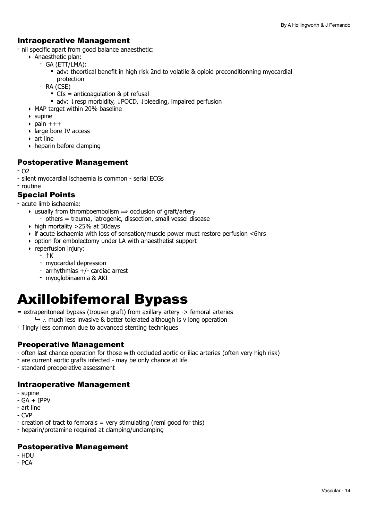## Intraoperative Management

- nil specific apart from good balance anaesthetic:
	- ‣ Anaesthetic plan:
		- GA (ETT/LMA):
			- adv: theortical benefit in high risk 2nd to volatile & opioid preconditionning myocardial protection
		- RA (CSE)
			- CIs = anticoagulation & pt refusal
			- adv: ↓resp morbidity, ↓POCD, ↓bleeding, impaired perfusion
	- ‣ MAP target within 20% baseline
	- ‣ supine
	- $\rightarrow$  pain  $++$
	- ‣ large bore IV access
	- ‣ art line
	- ‣ heparin before clamping

### Postoperative Management

- O2
- silent myocardial ischaemia is common serial ECGs
- routine

## Special Points

- acute limb ischaemia:
	- $\rightarrow$  usually from thromboembolism  $\rightarrow$  occlusion of graft/artery
		- others = trauma, iatrogenic, dissection, small vessel disease
	- $\rightarrow$  high mortality >25% at 30days
	- $\rightarrow$  if acute ischaemia with loss of sensation/muscle power must restore perfusion <6hrs
	- ‣ option for embolectomy under LA with anaesthetist support
	- ‣ reperfusion injury:
		- $-$  ↑K
		- myocardial depression
		- arrhythmias +/- cardiac arrest
		- myoglobinaemia & AKI

## <span id="page-13-0"></span>Axillobifemoral Bypass

- = extraperitoneal bypass (trouser graft) from axillary artery -> femoral arteries
	- ↳ ∴ much less invasive & better tolerated although is v long operation
- ↑ingly less common due to advanced stenting techniques

## Preoperative Management

- often last chance operation for those with occluded aortic or iliac arteries (often very high risk)
- are current aortic grafts infected may be only chance at life
- standard preoperative assessment

## Intraoperative Management

- supine
- GA + IPPV
- art line
- CVP
- $\overline{\phantom{a}}$  creation of tract to femorals = very stimulating (remi good for this)
- heparin/protamine required at clamping/unclamping

## Postoperative Management

- HDU
- PCA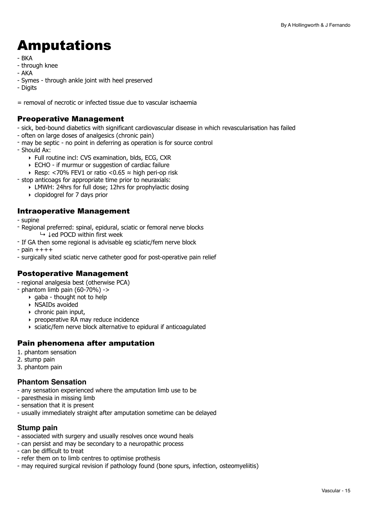## <span id="page-14-0"></span>Amputations

- BKA
- through knee
- AKA
- Symes through ankle joint with heel preserved
- Digits

 $=$  removal of necrotic or infected tissue due to vascular ischaemia

## Preoperative Management

- sick, bed-bound diabetics with significant cardiovascular disease in which revascularisation has failed
- often on large doses of analgesics (chronic pain)
- may be septic no point in deferring as operation is for source control
- Should Ax:
	- ‣ Full routine incl: CVS examination, blds, ECG, CXR
	- ‣ ECHO if murmur or suggestion of cardiac failure
	- ‣ Resp: <70% FEV1 or ratio <0.65 ≈ high peri-op risk
- stop anticoags for appropriate time prior to neuraxials:
	- ‣ LMWH: 24hrs for full dose; 12hrs for prophylactic dosing
	- ‣ clopidogrel for 7 days prior

## Intraoperative Management

- supine
- Regional preferred: spinal, epidural, sciatic or femoral nerve blocks ↳ ↓ed POCD within first week
- If GA then some regional is advisable eg sciatic/fem nerve block
- $-$  pain  $+++$
- surgically sited sciatic nerve catheter good for post-operative pain relief

## Postoperative Management

- regional analgesia best (otherwise PCA)

- phantom limb pain  $(60-70%)$  ->
	- $\rightarrow$  gaba thought not to help
	- ‣ NSAIDs avoided
	- $\triangleright$  chronic pain input.
	- ‣ preoperative RA may reduce incidence
	- ‣ sciatic/fem nerve block alternative to epidural if anticoagulated

## Pain phenomena after amputation

- 1. phantom sensation
- 2. stump pain
- 3. phantom pain

#### **Phantom Sensation**

- any sensation experienced where the amputation limb use to be
- paresthesia in missing limb
- sensation that it is present
- usually immediately straight after amputation sometime can be delayed

## **Stump pain**

- associated with surgery and usually resolves once wound heals
- can persist and may be secondary to a neuropathic process
- can be difficult to treat
- refer them on to limb centres to optimise prothesis
- may required surgical revision if pathology found (bone spurs, infection, osteomyeliitis)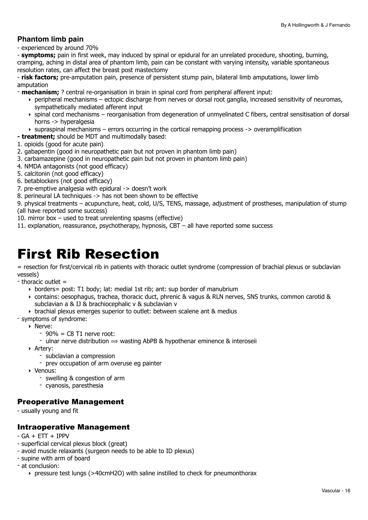### **Phantom limb pain**

- experienced by around 70%

- **symptoms;** pain in first week, may induced by spinal or epidural for an unrelated procedure, shooting, burning, cramping, aching in distal area of phantom limb, pain can be constant with varying intensity, variable spontaneous resolution rates, can affect the breast post mastectomy

- **risk factors;** pre-amputation pain, presence of persistent stump pain, bilateral limb amputations, lower limb amputation

- **mechanism;** ? central re-organisation in brain in spinal cord from peripheral afferent input:

- ‣ peripheral mechanisms ectopic discharge from nerves or dorsal root ganglia, increased sensitivity of neuromas, sympathetically mediated afferent input
- ‣ spinal cord mechanisms reorganisation from degeneration of unmyelinated C fibers, central sensitisation of dorsal horns -> hyperalgesia
- ‣ supraspinal mechanisms errors occurring in the cortical remapping process -> overamplifiication
- **treatment;** should be MDT and multimodally based:
- 1. opioids (good for acute pain)
- 2. gabapentin (good in neuropathetic pain but not proven in phantom limb pain)
- 3. carbamazepine (good in neuropathetic pain but not proven in phantom limb pain)
- 4. NMDA antagonists (not good efficacy)
- 5. calcitonin (not good efficacy)
- 6. betablockers (not good efficacy)
- 7. pre-emptive analgesia with epidural -> doesn't work
- 8. perineural LA techniques -> has not been shown to be effective

9. physical treatments – acupuncture, heat, cold, U/S, TENS, massage, adjustment of prostheses, manipulation of stump (all have reported some success)

- 10. mirror box used to treat unrelenting spasms (effective)
- 11. explanation, reassurance, psychotherapy, hypnosis, CBT all have reported some success

## <span id="page-15-0"></span>First Rib Resection

= resection for first/cervical rib in patients with thoracic outlet syndrome (compression of brachial plexus or subclavian vessels)

- thoracic outlet  $=$ 

- ‣ borders= post: T1 body; lat: medial 1st rib; ant: sup border of manubrium
- ‣ contains: oesophagus, trachea, thoracic duct, phrenic & vagus & RLN nerves, SNS trunks, common carotid & subclavian a & IJ & brachiocephalic v & subclavian v
- ‣ brachial plexus emerges superior to outlet: between scalene ant & medius

- symptoms of syndrome:

- ‣ Nerve:
	- $-90\% = C8$  T1 nerve root:
	- ulnar nerve distribution  $\Rightarrow$  wasting AbPB & hypothenar eminence & interoseii
- ‣ Artery:
	- subclavian a compression
	- prev occupation of arm overuse eg painter
- ‣ Venous:
	- swelling & congestion of arm
	- cyanosis, paresthesia

#### Preoperative Management

- usually young and fit

#### Intraoperative Management

- $GA + ETT + IPPV$
- superficial cervical plexus block (great)
- avoid muscle relaxants (surgeon needs to be able to ID plexus)
- supine with arm of board
- at conclusion:
	- ‣ pressure test lungs (>40cmH2O) with saline instilled to check for pneumonthorax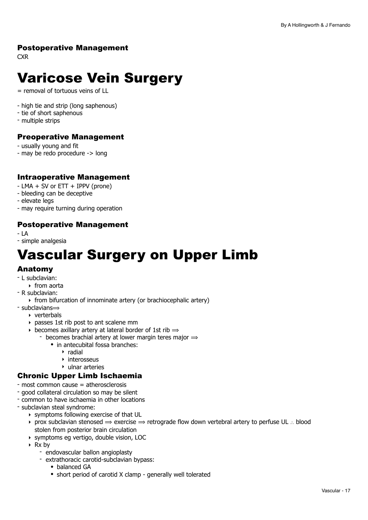## Postoperative Management

**CXR** 

## <span id="page-16-0"></span>Varicose Vein Surgery

= removal of tortuous veins of LL

- high tie and strip (long saphenous)
- tie of short saphenous
- multiple strips

## Preoperative Management

- usually young and fit
- may be redo procedure -> long

## Intraoperative Management

- LMA + SV or ETT + IPPV (prone)
- bleeding can be deceptive
- elevate legs
- may require turning during operation

## Postoperative Management

- LA

- simple analgesia

## <span id="page-16-1"></span>Vascular Surgery on Upper Limb

## Anatomy

- L subclavian:
	- ‣ from aorta
- R subclavian:
	- ‣ from bifurcation of innominate artery (or brachiocephalic artery)
- $-$  subclavians $\Rightarrow$ 
	- ‣ verterbals
	- ‣ passes 1st rib post to ant scalene mm
	- becomes axillary artery at lateral border of 1st rib  $\Rightarrow$ 
		- becomes brachial artery at lower margin teres major  $\Rightarrow$ 
			- in antecubital fossa branches:
				- ‣ radial
				- ‣ interosseus
				- ‣ ulnar arteries

## Chronic Upper Limb Ischaemia

- most common cause = atherosclerosis
- good collateral circulation so may be silent
- common to have ischaemia in other locations
- subclavian steal syndrome:
	- ‣ symptoms following exercise of that UL
	- ‣ prox subclavian stenosed ⟹ exercise ⟹ retrograde flow down vertebral artery to perfuse UL ∴ blood stolen from posterior brain circulation
	- ‣ symptoms eg vertigo, double vision, LOC
	- ‣ Rx by
		- endovascular ballon angioplasty
		- extrathoracic carotid-subclavian bypass:
			- balanced GA
			- short period of carotid X clamp generally well tolerated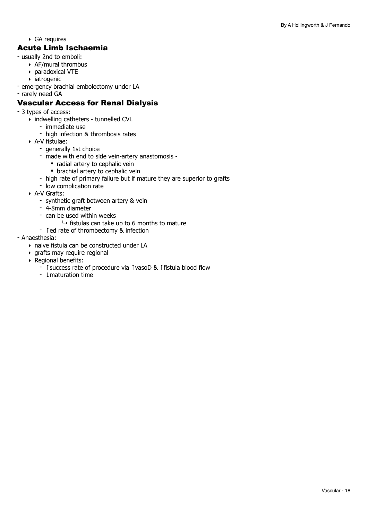‣ GA requires

## Acute Limb Ischaemia

- usually 2nd to emboli:
	- ‣ AF/mural thrombus
	- ‣ paradoxical VTE
	- ‣ iatrogenic
- emergency brachial embolectomy under LA
- rarely need GA

## Vascular Access for Renal Dialysis

- 3 types of access:
	- ‣ indwelling catheters tunnelled CVL
		- immediate use
		- high infection & thrombosis rates
	- ‣ A-V fistulae:
		- generally 1st choice
		- made with end to side vein-artery anastomosis
			- radial artery to cephalic vein
			- brachial artery to cephalic vein
		- high rate of primary failure but if mature they are superior to grafts
		- low complication rate
	- ‣ A-V Grafts:
		- synthetic graft between artery & vein
		- 4-8mm diameter
		- can be used within weeks
			- $\rightarrow$  fistulas can take up to 6 months to mature
		- ↑ed rate of thrombectomy & infection

#### - Anaesthesia:

- ‣ naive fistula can be constructed under LA
- ‣ grafts may require regional
- ‣ Regional benefits:
	- ↑success rate of procedure via ↑vasoD & ↑fistula blood flow
	- ↓maturation time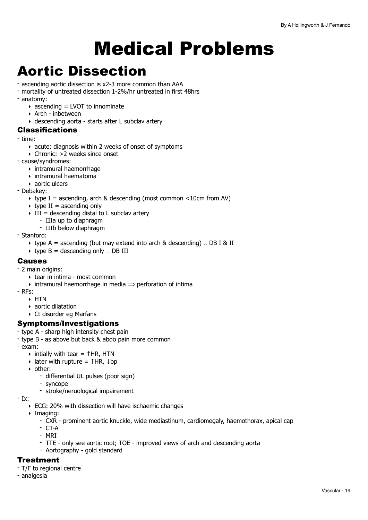# <span id="page-18-0"></span>Medical Problems

## <span id="page-18-1"></span>Aortic Dissection

- ascending aortic dissection is x2-3 more common than AAA
- mortality of untreated dissection 1-2%/hr untreated in first 48hrs
- anatomy:
	- $\rightarrow$  ascending = LVOT to innominate
	- ‣ Arch inbetween
	- ‣ descending aorta starts after L subclav artery

### Classifications

- time:
	- ‣ acute: diagnosis within 2 weeks of onset of symptoms
	- ‣ Chronic: >2 weeks since onset
- cause/syndromes:
	- ‣ intramural haemorrhage
	- $\rightarrow$  intramural haematoma
	- ‣ aortic ulcers
- Debakey:
	- $\rightarrow$  type I = ascending, arch & descending (most common <10cm from AV)
	- $\rightarrow$  type II = ascending only
	- $\triangleright$  III = descending distal to L subclav artery
		- IIIa up to diaphragm
		- IIIb below diaphragm
- Stanford:
	- ‣ type A = ascending (but may extend into arch & descending) ∴ DB I & II
	- ‣ type B = descending only ∴ DB III

### Causes

- 2 main origins:
	- ‣ tear in intima most common
	- $\rightarrow$  intramural haemorrhage in media  $\rightarrow$  perforation of intima
- RFs:
	- ‣ HTN
	- ‣ aortic dilatation
	- ‣ Ct disorder eg Marfans

## Symptoms/Investigations

- type A sharp high intensity chest pain
- type B as above but back & abdo pain more common
- exam:
	- ‣ intially with tear = ↑HR, HTN
	- $\rightarrow$  later with rupture =  $\uparrow$  HR,  $\downarrow$  bp
	- ‣ other:
		- differential UL pulses (poor sign)
		- syncope
		- stroke/neruological impairement

- Ix:

- ‣ ECG: 20% with dissection will have ischaemic changes
- ‣ Imaging:
	- CXR prominent aortic knuckle, wide mediastinum, cardiomegaly, haemothorax, apical cap
	- CT-A
	- MRI
	- TTE only see aortic root; TOE improved views of arch and descending aorta
	- Aortography gold standard

## **Treatment**

- T/F to regional centre
- analgesia